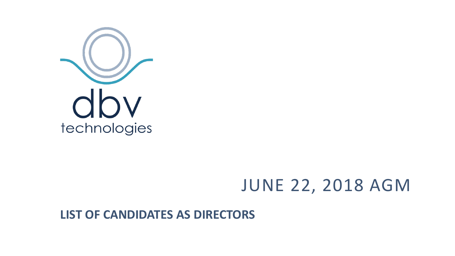

# JUNE 22, 2018 AGM

**LIST OF CANDIDATES AS DIRECTORS**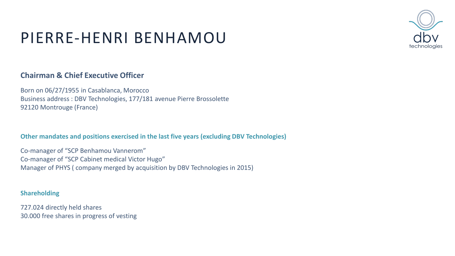### PIERRE-HENRI BENHAMOU

### **Chairman & Chief Executive Officer**

Born on 06/27/1955 in Casablanca, Morocco Business address : DBV Technologies, 177/181 avenue Pierre Brossolette 92120 Montrouge (France)

**Other mandates and positions exercised in the last five years (excluding DBV Technologies)**

Co-manager of "SCP Benhamou Vannerom" Co-manager of "SCP Cabinet medical Victor Hugo" Manager of PHYS ( company merged by acquisition by DBV Technologies in 2015)

#### **Shareholding**

727.024 directly held shares 30.000 free shares in progress of vesting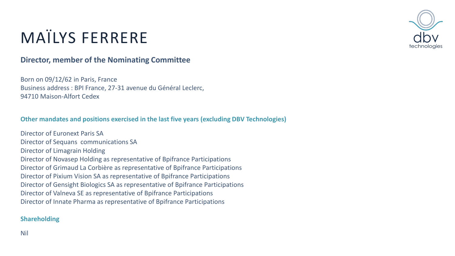

# MAÏLYS FERRERE

### **Director, member of the Nominating Committee**

Born on 09/12/62 in Paris, France Business address : BPI France, 27-31 avenue du Général Leclerc, 94710 Maison-Alfort Cedex

### **Other mandates and positions exercised in the last five years (excluding DBV Technologies)**

Director of Euronext Paris SA Director of Sequans communications SA Director of Limagrain Holding Director of Novasep Holding as representative of Bpifrance Participations Director of Grimaud La Corbière as representative of Bpifrance Participations Director of Pixium Vision SA as representative of Bpifrance Participations Director of Gensight Biologics SA as representative of Bpifrance Participations Director of Valneva SE as representative of Bpifrance Participations Director of Innate Pharma as representative of Bpifrance Participations

### **Shareholding**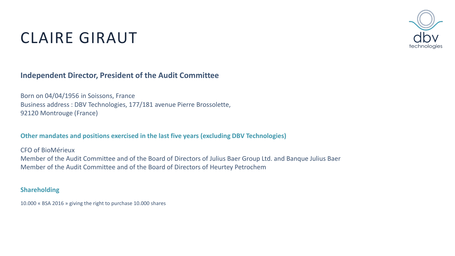

# CLAIRE GIRAUT

### **Independent Director, President of the Audit Committee**

Born on 04/04/1956 in Soissons, France Business address : DBV Technologies, 177/181 avenue Pierre Brossolette, 92120 Montrouge (France)

#### **Other mandates and positions exercised in the last five years (excluding DBV Technologies)**

CFO of BioMérieux

Member of the Audit Committee and of the Board of Directors of Julius Baer Group Ltd. and Banque Julius Baer Member of the Audit Committee and of the Board of Directors of Heurtey Petrochem

#### **Shareholding**

10.000 « BSA 2016 » giving the right to purchase 10.000 shares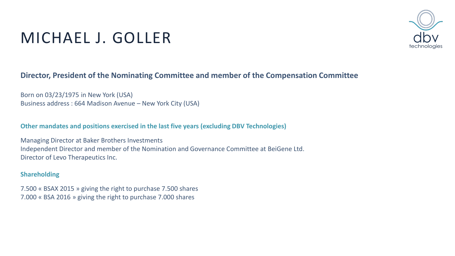

# MICHAEL J. GOLLER

### **Director, President of the Nominating Committee and member of the Compensation Committee**

Born on 03/23/1975 in New York (USA) Business address : 664 Madison Avenue – New York City (USA)

**Other mandates and positions exercised in the last five years (excluding DBV Technologies)**

Managing Director at Baker Brothers Investments Independent Director and member of the Nomination and Governance Committee at BeiGene Ltd. Director of Levo Therapeutics Inc.

#### **Shareholding**

7.500 « BSAX 2015 » giving the right to purchase 7.500 shares 7.000 « BSA 2016 » giving the right to purchase 7.000 shares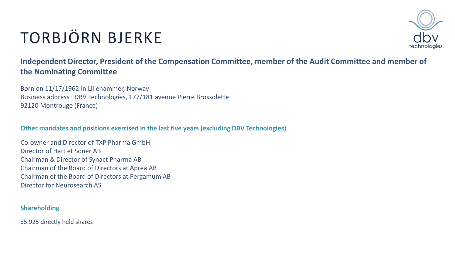# TORBJÖRN BJERKE



**Independent Director, President of the Compensation Committee, member of the Audit Committee and member of the Nominating Committee**

Born on 11/17/1962 in Lillehammer, Norway Business address : DBV Technologies, 177/181 avenue Pierre Brossolette 92120 Montrouge (France)

**Other mandates and positions exercised in the last five years (excluding DBV Technologies)**

Co-owner and Director of TXP Pharma GmbH Director of Hatt et Söner AB Chairman & Director of Synact Pharma AB Chairman of the Board of Directors at Aprea AB Chairman of the Board of Directors at Pergamum AB Director for Neurosearch AS

### **Shareholding**

35.925 directly held shares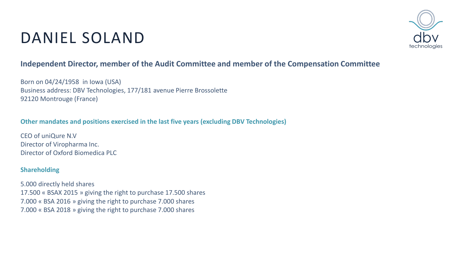# DANIEL SOLAND



### **Independent Director, member of the Audit Committee and member of the Compensation Committee**

Born on 04/24/1958 in Iowa (USA) Business address: DBV Technologies, 177/181 avenue Pierre Brossolette 92120 Montrouge (France)

### **Other mandates and positions exercised in the last five years (excluding DBV Technologies)**

CEO of uniQure N.V Director of Viropharma Inc. Director of Oxford Biomedica PLC

#### **Shareholding**

5.000 directly held shares 17.500 « BSAX 2015 » giving the right to purchase 17.500 shares 7.000 « BSA 2016 » giving the right to purchase 7.000 shares 7.000 « BSA 2018 » giving the right to purchase 7.000 shares